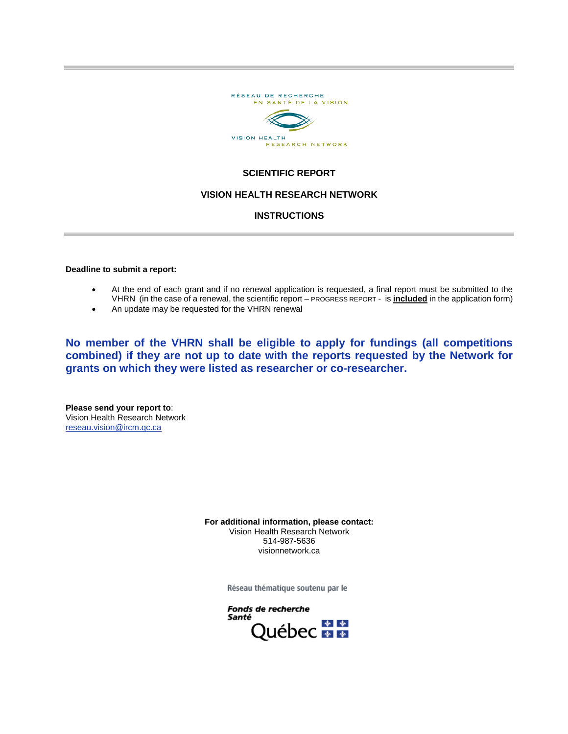

# **SCIENTIFIC REPORT**

## **VISION HEALTH RESEARCH NETWORK**

### **INSTRUCTIONS**

**Deadline to submit a report:** 

- At the end of each grant and if no renewal application is requested, a final report must be submitted to the VHRN (in the case of a renewal, the scientific report – PROGRESS REPORT - is **included** in the application form)
- An update may be requested for the VHRN renewal

**No member of the VHRN shall be eligible to apply for fundings (all competitions combined) if they are not up to date with the reports requested by the Network for grants on which they were listed as researcher or co-researcher.**

**Please send your report to**: Vision Health Research Network reseau.vision@ircm.qc.ca

> **For additional information, please contact:** Vision Health Research Network 514-987-5636 visionnetwork.ca

> > Réseau thématique soutenu par le

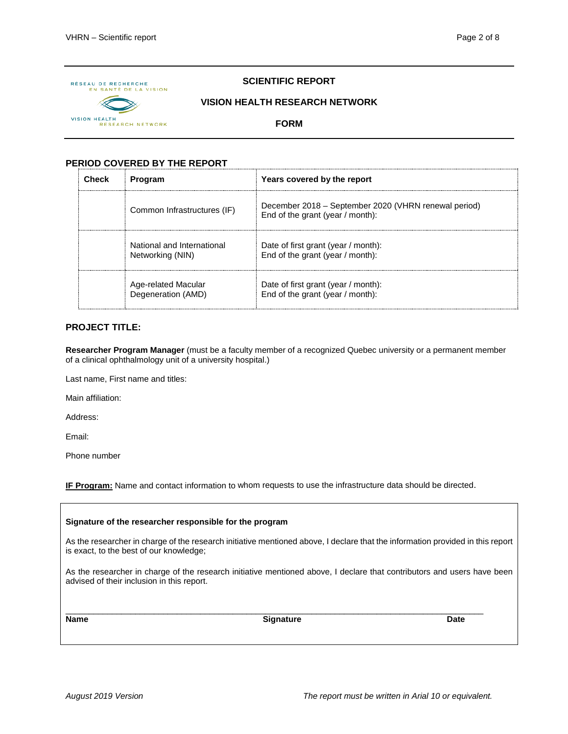

# **SCIENTIFIC REPORT**

## **VISION HEALTH RESEARCH NETWORK**

**FORM**

# **PERIOD COVERED BY THE REPORT**

| Check | <b>Program</b>                                 | Years covered by the report                                                              |
|-------|------------------------------------------------|------------------------------------------------------------------------------------------|
|       | Common Infrastructures (IF)                    | December 2018 - September 2020 (VHRN renewal period)<br>End of the grant (year / month): |
|       | National and International<br>Networking (NIN) | Date of first grant (year / month):<br>End of the grant (year / month):                  |
|       | Age-related Macular<br>Degeneration (AMD)      | Date of first grant (year / month):<br>End of the grant (year / month):                  |

# **PROJECT TITLE:**

**Researcher Program Manager** (must be a faculty member of a recognized Quebec university or a permanent member of a clinical ophthalmology unit of a university hospital.)

Last name, First name and titles:

Main affiliation:

Address:

Email:

Phone number

**IF Program:** Name and contact information to whom requests to use the infrastructure data should be directed.

| Signature of the researcher responsible for the program                                                                                                                   |                  |      |  |  |  |  |
|---------------------------------------------------------------------------------------------------------------------------------------------------------------------------|------------------|------|--|--|--|--|
| As the researcher in charge of the research initiative mentioned above, I declare that the information provided in this report<br>is exact, to the best of our knowledge; |                  |      |  |  |  |  |
| As the researcher in charge of the research initiative mentioned above, I declare that contributors and users have been<br>advised of their inclusion in this report.     |                  |      |  |  |  |  |
| <b>Name</b>                                                                                                                                                               | <b>Signature</b> | Date |  |  |  |  |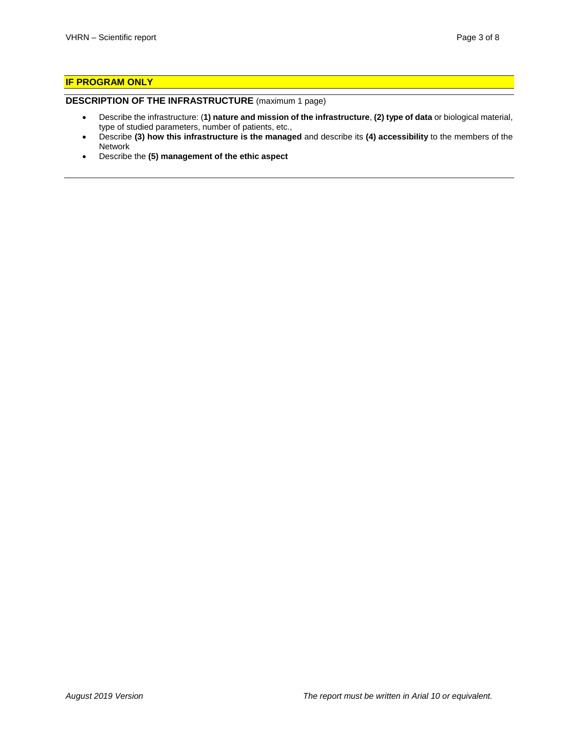# **IF PROGRAM ONLY**

### **DESCRIPTION OF THE INFRASTRUCTURE** (maximum 1 page)

- Describe the infrastructure: (**1) nature and mission of the infrastructure**, **(2) type of data** or biological material, type of studied parameters, number of patients, etc.,
- Describe **(3) how this infrastructure is the managed** and describe its **(4) accessibility** to the members of the Network
- Describe the **(5) management of the ethic aspect**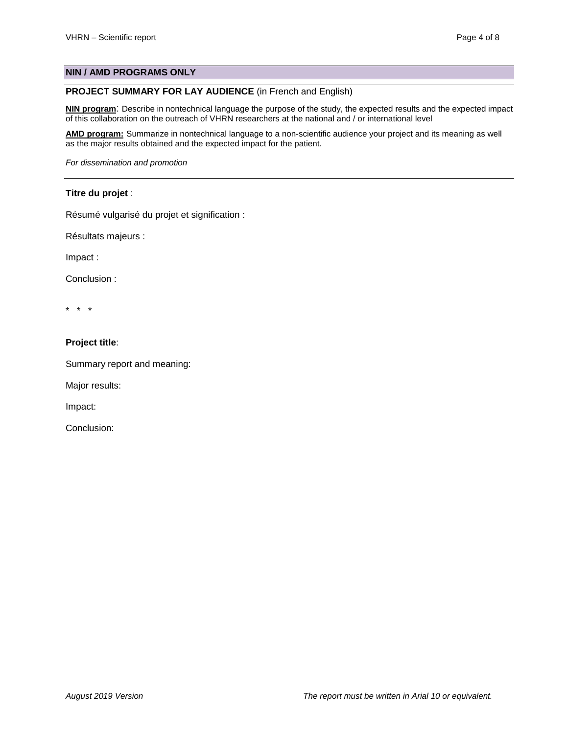# **NIN / AMD PROGRAMS ONLY**

# **PROJECT SUMMARY FOR LAY AUDIENCE** (in French and English)

**NIN program**: Describe in nontechnical language the purpose of the study, the expected results and the expected impact of this collaboration on the outreach of VHRN researchers at the national and / or international level

**AMD program:** Summarize in nontechnical language to a non-scientific audience your project and its meaning as well as the major results obtained and the expected impact for the patient.

*For dissemination and promotion*

## **Titre du projet** :

Résumé vulgarisé du projet et signification :

Résultats majeurs :

Impact :

Conclusion :

\* \* \*

### **Project title**:

Summary report and meaning:

Major results:

Impact:

Conclusion: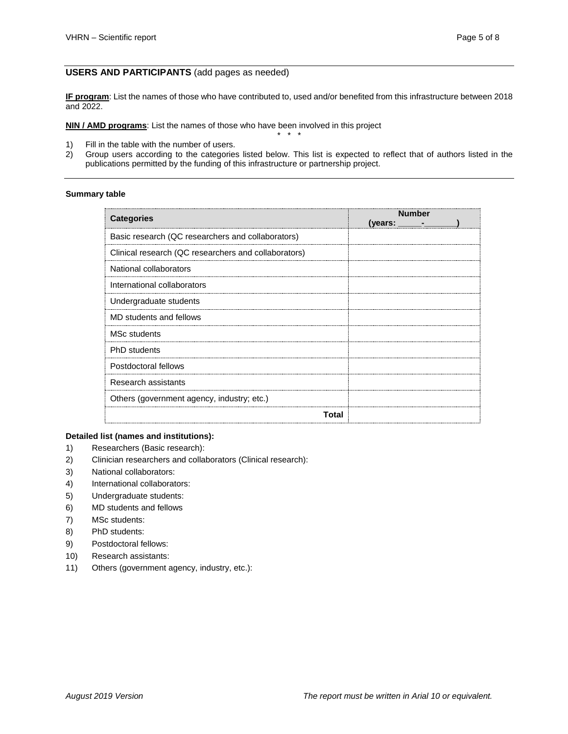## **USERS AND PARTICIPANTS** (add pages as needed)

**IF program**: List the names of those who have contributed to, used and/or benefited from this infrastructure between 2018 and 2022.

**NIN / AMD programs**: List the names of those who have been involved in this project \* \* \*

- 1) Fill in the table with the number of users.<br>2) Group users according to the categories
- 2) Group users according to the categories listed below. This list is expected to reflect that of authors listed in the publications permitted by the funding of this infrastructure or partnership project.

## **Summary table**

| <b>Categories</b>                                    | <b>Number</b><br>(years: $\_\_$ |
|------------------------------------------------------|---------------------------------|
| Basic research (QC researchers and collaborators)    |                                 |
| Clinical research (QC researchers and collaborators) |                                 |
| National collaborators                               |                                 |
| International collaborators                          |                                 |
| Undergraduate students                               |                                 |
| MD students and fellows                              |                                 |
| <b>MSc students</b>                                  |                                 |
| <b>PhD</b> students                                  |                                 |
| Postdoctoral fellows                                 |                                 |
| Research assistants                                  |                                 |
| Others (government agency, industry; etc.)           |                                 |
| Total                                                |                                 |

#### **Detailed list (names and institutions):**

- 1) Researchers (Basic research):
- 2) Clinician researchers and collaborators (Clinical research):
- 3) National collaborators:
- 4) International collaborators:
- 5) Undergraduate students:
- 6) MD students and fellows
- 7) MSc students:
- 8) PhD students:
- 9) Postdoctoral fellows:
- 10) Research assistants:
- 11) Others (government agency, industry, etc.):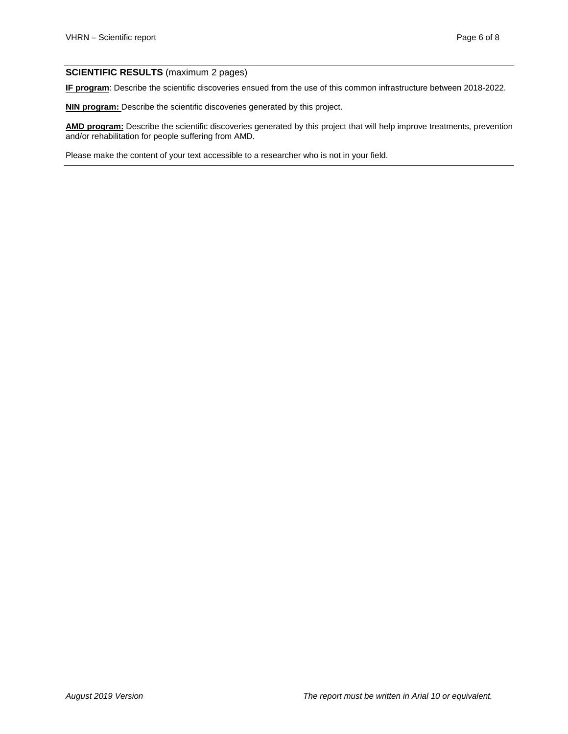## **SCIENTIFIC RESULTS** (maximum 2 pages)

**IF program**: Describe the scientific discoveries ensued from the use of this common infrastructure between 2018-2022.

**NIN program:** Describe the scientific discoveries generated by this project.

**AMD program:** Describe the scientific discoveries generated by this project that will help improve treatments, prevention and/or rehabilitation for people suffering from AMD.

Please make the content of your text accessible to a researcher who is not in your field.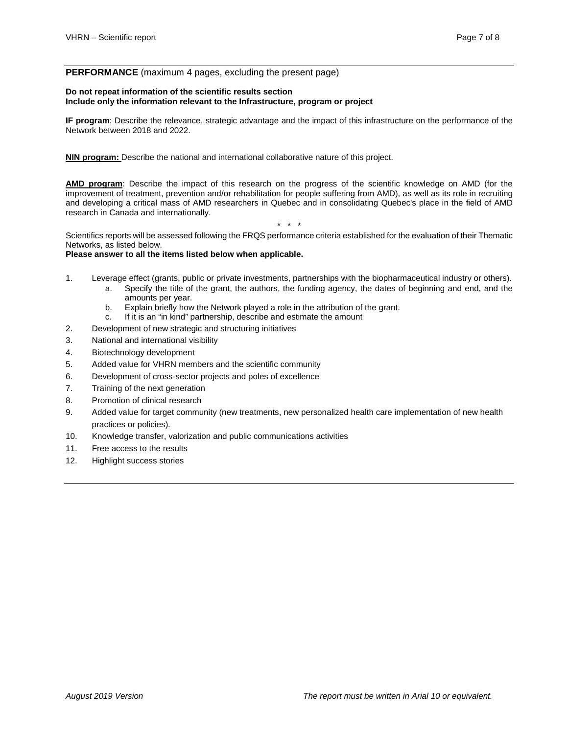#### **PERFORMANCE** (maximum 4 pages, excluding the present page)

#### **Do not repeat information of the scientific results section Include only the information relevant to the Infrastructure, program or project**

**IF program**: Describe the relevance, strategic advantage and the impact of this infrastructure on the performance of the Network between 2018 and 2022.

**NIN program:** Describe the national and international collaborative nature of this project.

**AMD program**: Describe the impact of this research on the progress of the scientific knowledge on AMD (for the improvement of treatment, prevention and/or rehabilitation for people suffering from AMD), as well as its role in recruiting and developing a critical mass of AMD researchers in Quebec and in consolidating Quebec's place in the field of AMD research in Canada and internationally.

Scientifics reports will be assessed following the FRQS performance criteria established for the evaluation of their Thematic Networks, as listed below.

\* \* \*

#### **Please answer to all the items listed below when applicable.**

- 1. Leverage effect (grants, public or private investments, partnerships with the biopharmaceutical industry or others).
	- a. Specify the title of the grant, the authors, the funding agency, the dates of beginning and end, and the amounts per year.
	- b. Explain briefly how the Network played a role in the attribution of the grant.
	- c. If it is an "in kind" partnership, describe and estimate the amount
- 2. Development of new strategic and structuring initiatives
- 3. National and international visibility
- 4. Biotechnology development
- 5. Added value for VHRN members and the scientific community
- 6. Development of cross-sector projects and poles of excellence
- 7. Training of the next generation
- 8. Promotion of clinical research
- 9. Added value for target community (new treatments, new personalized health care implementation of new health practices or policies).
- 10. Knowledge transfer, valorization and public communications activities
- 11. Free access to the results
- 12. Highlight success stories